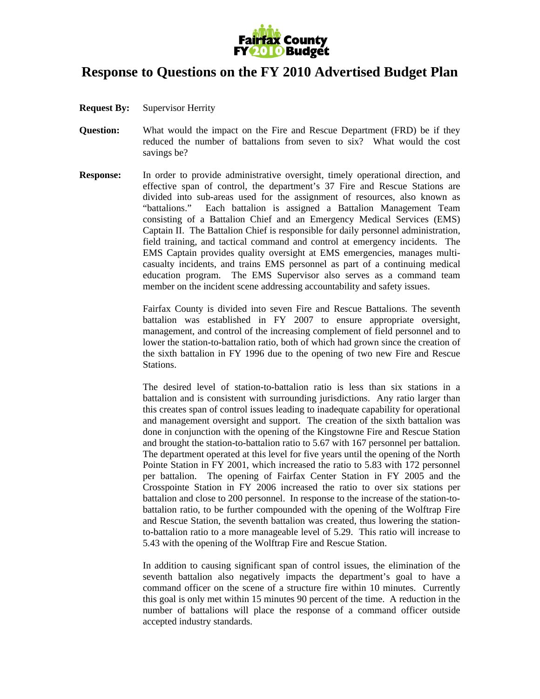

## **Response to Questions on the FY 2010 Advertised Budget Plan**

- **Request By:** Supervisor Herrity
- **Question:** What would the impact on the Fire and Rescue Department (FRD) be if they reduced the number of battalions from seven to six? What would the cost savings be?
- **Response:** In order to provide administrative oversight, timely operational direction, and effective span of control, the department's 37 Fire and Rescue Stations are divided into sub-areas used for the assignment of resources, also known as "battalions." Each battalion is assigned a Battalion Management Team consisting of a Battalion Chief and an Emergency Medical Services (EMS) Captain II. The Battalion Chief is responsible for daily personnel administration, field training, and tactical command and control at emergency incidents. The EMS Captain provides quality oversight at EMS emergencies, manages multicasualty incidents, and trains EMS personnel as part of a continuing medical education program. The EMS Supervisor also serves as a command team member on the incident scene addressing accountability and safety issues.

 Fairfax County is divided into seven Fire and Rescue Battalions. The seventh battalion was established in FY 2007 to ensure appropriate oversight, management, and control of the increasing complement of field personnel and to lower the station-to-battalion ratio, both of which had grown since the creation of the sixth battalion in FY 1996 due to the opening of two new Fire and Rescue Stations.

The desired level of station-to-battalion ratio is less than six stations in a battalion and is consistent with surrounding jurisdictions. Any ratio larger than this creates span of control issues leading to inadequate capability for operational and management oversight and support. The creation of the sixth battalion was done in conjunction with the opening of the Kingstowne Fire and Rescue Station and brought the station-to-battalion ratio to 5.67 with 167 personnel per battalion. The department operated at this level for five years until the opening of the North Pointe Station in FY 2001, which increased the ratio to 5.83 with 172 personnel per battalion. The opening of Fairfax Center Station in FY 2005 and the Crosspointe Station in FY 2006 increased the ratio to over six stations per battalion and close to 200 personnel. In response to the increase of the station-tobattalion ratio, to be further compounded with the opening of the Wolftrap Fire and Rescue Station, the seventh battalion was created, thus lowering the stationto-battalion ratio to a more manageable level of 5.29. This ratio will increase to 5.43 with the opening of the Wolftrap Fire and Rescue Station.

In addition to causing significant span of control issues, the elimination of the seventh battalion also negatively impacts the department's goal to have a command officer on the scene of a structure fire within 10 minutes. Currently this goal is only met within 15 minutes 90 percent of the time. A reduction in the number of battalions will place the response of a command officer outside accepted industry standards.